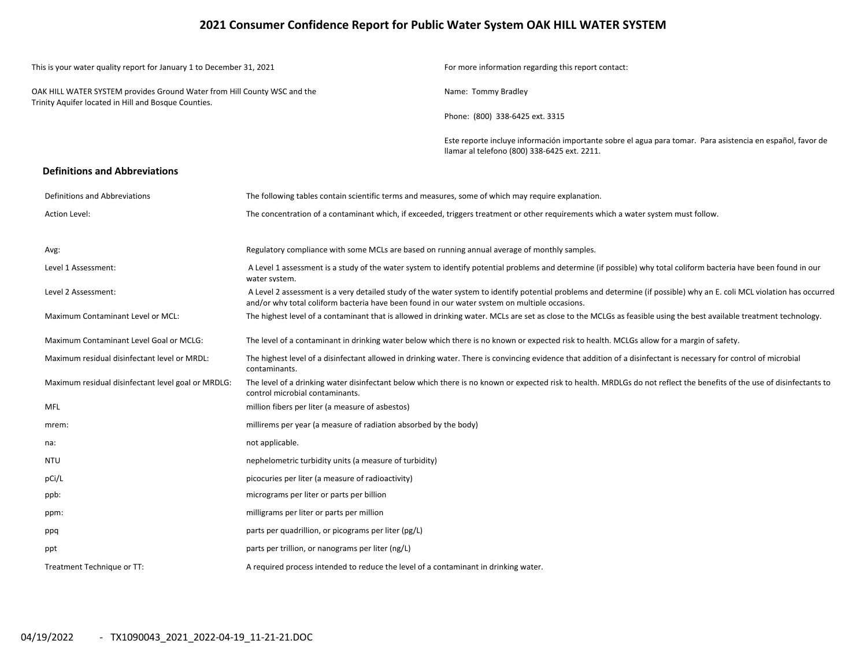## **2021 Consumer Confidence Report for Public Water System OAK HILL WATER SYSTEM**

| This is your water quality report for January 1 to December 31, 2021                                                             |                                                                                                    | For more information regarding this report contact:                                                                                                                    |  |  |  |  |
|----------------------------------------------------------------------------------------------------------------------------------|----------------------------------------------------------------------------------------------------|------------------------------------------------------------------------------------------------------------------------------------------------------------------------|--|--|--|--|
| OAK HILL WATER SYSTEM provides Ground Water from Hill County WSC and the<br>Trinity Aquifer located in Hill and Bosque Counties. |                                                                                                    | Name: Tommy Bradley                                                                                                                                                    |  |  |  |  |
|                                                                                                                                  |                                                                                                    | Phone: (800) 338-6425 ext. 3315                                                                                                                                        |  |  |  |  |
|                                                                                                                                  |                                                                                                    | Este reporte incluye información importante sobre el agua para tomar. Para asistencia en español, favor de<br>Ilamar al telefono (800) 338-6425 ext. 2211.             |  |  |  |  |
| <b>Definitions and Abbreviations</b>                                                                                             |                                                                                                    |                                                                                                                                                                        |  |  |  |  |
| Definitions and Abbreviations                                                                                                    | The following tables contain scientific terms and measures, some of which may require explanation. |                                                                                                                                                                        |  |  |  |  |
| Action Level:                                                                                                                    |                                                                                                    | The concentration of a contaminant which, if exceeded, triggers treatment or other requirements which a water system must follow.                                      |  |  |  |  |
| Avg:                                                                                                                             | Regulatory compliance with some MCLs are based on running annual average of monthly samples.       |                                                                                                                                                                        |  |  |  |  |
| Level 1 Assessment:                                                                                                              | water system.                                                                                      | A Level 1 assessment is a study of the water system to identify potential problems and determine (if possible) why total coliform bacteria have been found in our      |  |  |  |  |
| Level 2 Assessment:                                                                                                              | and/or why total coliform bacteria have been found in our water system on multiple occasions.      | A Level 2 assessment is a very detailed study of the water system to identify potential problems and determine (if possible) why an E. coli MCL violation has occurred |  |  |  |  |
| Maximum Contaminant Level or MCL:                                                                                                |                                                                                                    | The highest level of a contaminant that is allowed in drinking water. MCLs are set as close to the MCLGs as feasible using the best available treatment technology.    |  |  |  |  |
| Maximum Contaminant Level Goal or MCLG:                                                                                          |                                                                                                    | The level of a contaminant in drinking water below which there is no known or expected risk to health. MCLGs allow for a margin of safety.                             |  |  |  |  |
| Maximum residual disinfectant level or MRDL:                                                                                     | contaminants.                                                                                      | The highest level of a disinfectant allowed in drinking water. There is convincing evidence that addition of a disinfectant is necessary for control of microbial      |  |  |  |  |
| Maximum residual disinfectant level goal or MRDLG:                                                                               | control microbial contaminants.                                                                    | The level of a drinking water disinfectant below which there is no known or expected risk to health. MRDLGs do not reflect the benefits of the use of disinfectants to |  |  |  |  |
| <b>MFL</b>                                                                                                                       | million fibers per liter (a measure of asbestos)                                                   |                                                                                                                                                                        |  |  |  |  |
| mrem:                                                                                                                            | millirems per year (a measure of radiation absorbed by the body)                                   |                                                                                                                                                                        |  |  |  |  |
| na:                                                                                                                              | not applicable.                                                                                    |                                                                                                                                                                        |  |  |  |  |
| NTU                                                                                                                              | nephelometric turbidity units (a measure of turbidity)                                             |                                                                                                                                                                        |  |  |  |  |
| pCi/L                                                                                                                            | picocuries per liter (a measure of radioactivity)                                                  |                                                                                                                                                                        |  |  |  |  |
| ppb:                                                                                                                             | micrograms per liter or parts per billion                                                          |                                                                                                                                                                        |  |  |  |  |
| ppm:                                                                                                                             | milligrams per liter or parts per million                                                          |                                                                                                                                                                        |  |  |  |  |
| ppq                                                                                                                              | parts per quadrillion, or picograms per liter (pg/L)                                               |                                                                                                                                                                        |  |  |  |  |
| ppt                                                                                                                              | parts per trillion, or nanograms per liter (ng/L)                                                  |                                                                                                                                                                        |  |  |  |  |
| Treatment Technique or TT:                                                                                                       | A required process intended to reduce the level of a contaminant in drinking water.                |                                                                                                                                                                        |  |  |  |  |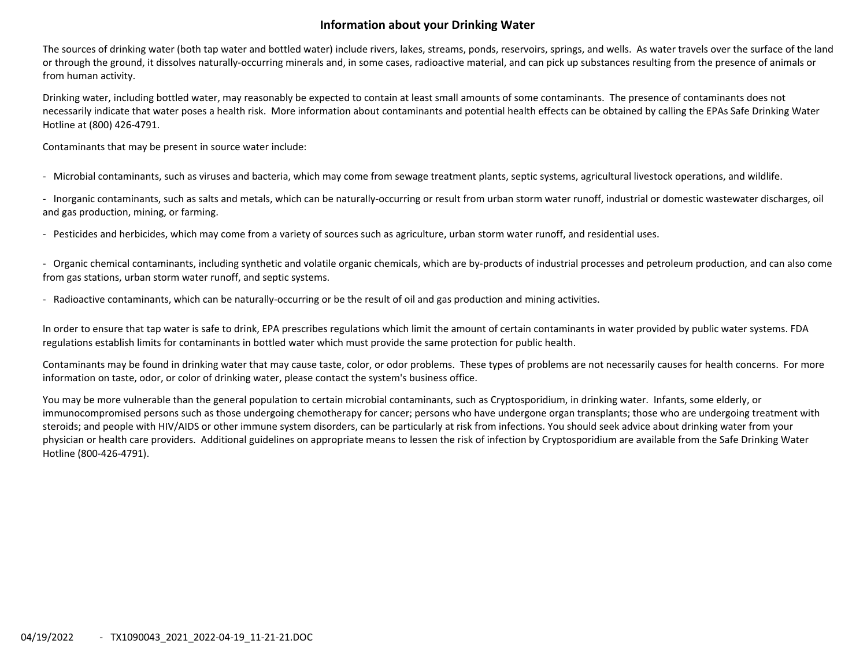## **Information about your Drinking Water**

The sources of drinking water (both tap water and bottled water) include rivers, lakes, streams, ponds, reservoirs, springs, and wells. As water travels over the surface of the land or through the ground, it dissolves naturally‐occurring minerals and, in some cases, radioactive material, and can pick up substances resulting from the presence of animals or from human activity.

Drinking water, including bottled water, may reasonably be expected to contain at least small amounts of some contaminants. The presence of contaminants does not necessarily indicate that water poses <sup>a</sup> health risk. More information about contaminants and potential health effects can be obtained by calling the EPAs Safe Drinking Water Hotline at (800) 426‐4791.

Contaminants that may be present in source water include:

‐ Microbial contaminants, such as viruses and bacteria, which may come from sewage treatment plants, septic systems, agricultural livestock operations, and wildlife.

‐ Inorganic contaminants, such as salts and metals, which can be naturally‐occurring or result from urban storm water runoff, industrial or domestic wastewater discharges, oil and gas production, mining, or farming.

‐ Pesticides and herbicides, which may come from <sup>a</sup> variety of sources such as agriculture, urban storm water runoff, and residential uses.

‐ Organic chemical contaminants, including synthetic and volatile organic chemicals, which are by‐products of industrial processes and petroleum production, and can also come from gas stations, urban storm water runoff, and septic systems.

‐ Radioactive contaminants, which can be naturally‐occurring or be the result of oil and gas production and mining activities.

In order to ensure that tap water is safe to drink, EPA prescribes regulations which limit the amount of certain contaminants in water provided by public water systems. FDA regulations establish limits for contaminants in bottled water which must provide the same protection for public health.

Contaminants may be found in drinking water that may cause taste, color, or odor problems. These types of problems are not necessarily causes for health concerns. For more information on taste, odor, or color of drinking water, please contact the system's business office.

You may be more vulnerable than the general population to certain microbial contaminants, such as Cryptosporidium, in drinking water. Infants, some elderly, or immunocompromised persons such as those undergoing chemotherapy for cancer; persons who have undergone organ transplants; those who are undergoing treatment with steroids; and people with HIV/AIDS or other immune system disorders, can be particularly at risk from infections. You should seek advice about drinking water from your physician or health care providers. Additional guidelines on appropriate means to lessen the risk of infection by Cryptosporidium are available from the Safe Drinking Water Hotline (800‐426‐4791).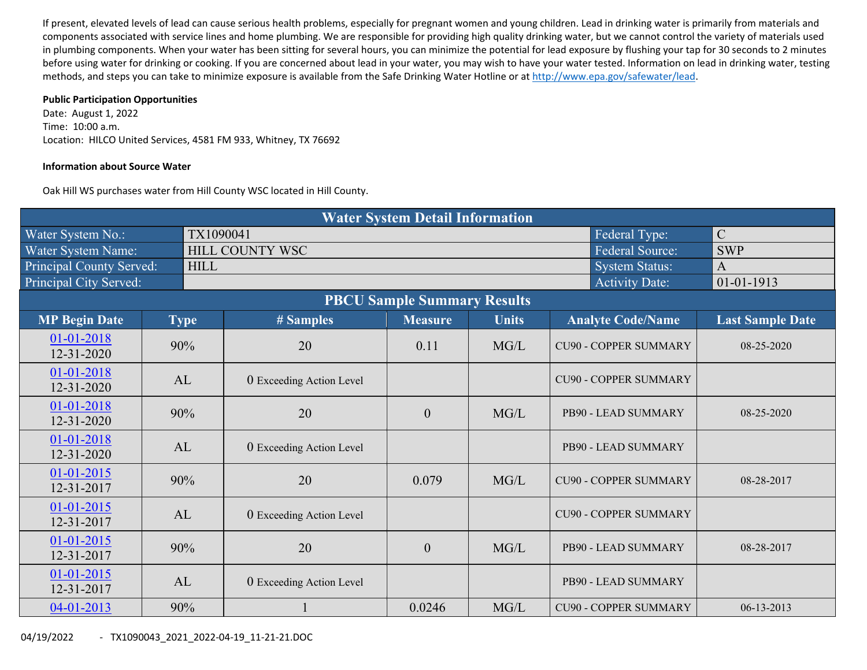If present, elevated levels of lead can cause serious health problems, especially for pregnant women and young children. Lead in drinking water is primarily from materials and components associated with service lines and home plumbing. We are responsible for providing high quality drinking water, but we cannot control the variety of materials used in plumbing components. When your water has been sitting for several hours, you can minimize the potential for lead exposure by flushing your tap for 30 seconds to 2 minutes before using water for drinking or cooking. If you are concerned about lead in your water, you may wish to have your water tested. Information on lead in drinking water, testing methods, and steps you can take to minimize exposure is available from the Safe Drinking Water Hotline or at http://www.epa.gov/safewater/lead.

### **Public Participation Opportunities**

Date: August 1, 2022 Time: 10:00 a.m. Location: HILCO United Services, 4581 FM 933, Whitney, TX 76692

#### **Information about Source Water**

Oak Hill WS purchases water from Hill County WSC located in Hill County.

|                                | <b>Water System Detail Information</b> |                                                         |                          |                                    |              |                              |                         |  |  |  |  |
|--------------------------------|----------------------------------------|---------------------------------------------------------|--------------------------|------------------------------------|--------------|------------------------------|-------------------------|--|--|--|--|
| Water System No.:              |                                        | TX1090041                                               |                          |                                    |              | Federal Type:                | $\mathsf{C}$            |  |  |  |  |
| Water System Name:             |                                        | <b>Federal Source:</b><br>HILL COUNTY WSC<br><b>SWP</b> |                          |                                    |              |                              |                         |  |  |  |  |
| Principal County Served:       |                                        | <b>HILL</b>                                             |                          |                                    |              | <b>System Status:</b>        | $\mathbf{A}$            |  |  |  |  |
| Principal City Served:         |                                        |                                                         |                          |                                    |              | <b>Activity Date:</b>        | 01-01-1913              |  |  |  |  |
|                                |                                        |                                                         |                          | <b>PBCU Sample Summary Results</b> |              |                              |                         |  |  |  |  |
| <b>MP Begin Date</b>           |                                        | <b>Type</b>                                             | # Samples                | <b>Measure</b>                     | <b>Units</b> | <b>Analyte Code/Name</b>     | <b>Last Sample Date</b> |  |  |  |  |
| 01-01-2018<br>12-31-2020       |                                        | 90%                                                     | 20                       | 0.11                               | MG/L         | <b>CU90 - COPPER SUMMARY</b> | 08-25-2020              |  |  |  |  |
| 01-01-2018<br>$12 - 31 - 2020$ |                                        | AL                                                      | 0 Exceeding Action Level |                                    |              | <b>CU90 - COPPER SUMMARY</b> |                         |  |  |  |  |
| 01-01-2018<br>$12 - 31 - 2020$ |                                        | 90%                                                     | 20                       | $\mathbf{0}$                       | MG/L         | PB90 - LEAD SUMMARY          | 08-25-2020              |  |  |  |  |
| 01-01-2018<br>$12 - 31 - 2020$ |                                        | AL                                                      | 0 Exceeding Action Level |                                    |              | PB90 - LEAD SUMMARY          |                         |  |  |  |  |
| $01-01-2015$<br>12-31-2017     |                                        | 90%                                                     | 20                       | 0.079                              | MG/L         | <b>CU90 - COPPER SUMMARY</b> | 08-28-2017              |  |  |  |  |
| $01 - 01 - 2015$<br>12-31-2017 |                                        | AL                                                      | 0 Exceeding Action Level |                                    |              | <b>CU90 - COPPER SUMMARY</b> |                         |  |  |  |  |
| $01-01-2015$<br>12-31-2017     |                                        | 90%                                                     | 20                       | $\mathbf{0}$                       | MG/L         | PB90 - LEAD SUMMARY          | 08-28-2017              |  |  |  |  |
| $01-01-2015$<br>12-31-2017     |                                        | AL                                                      | 0 Exceeding Action Level |                                    |              | PB90 - LEAD SUMMARY          |                         |  |  |  |  |
| 04-01-2013                     |                                        | 90%                                                     |                          | 0.0246                             | MG/L         | <b>CU90 - COPPER SUMMARY</b> | $06 - 13 - 2013$        |  |  |  |  |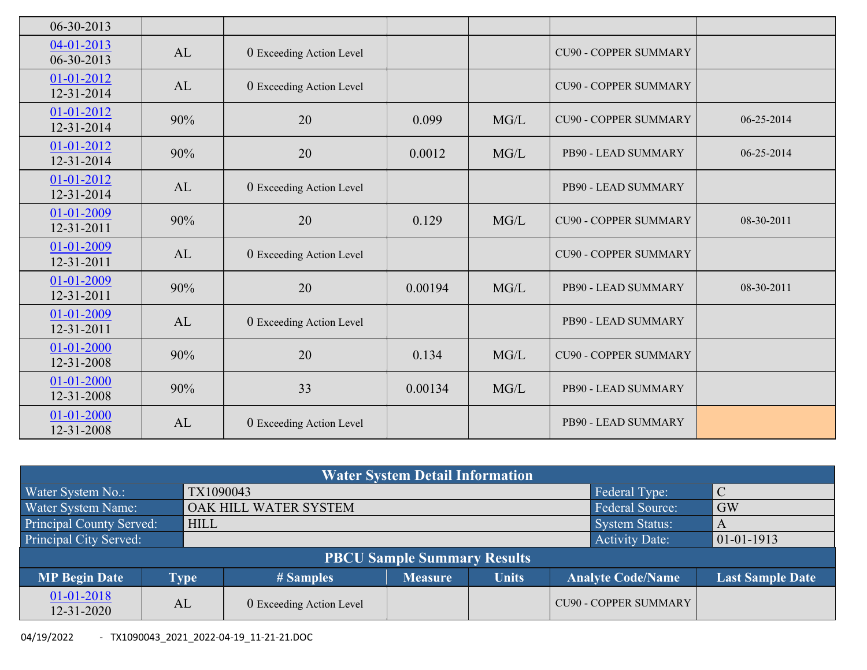| $06 - 30 - 2013$         |     |                          |         |      |                              |            |
|--------------------------|-----|--------------------------|---------|------|------------------------------|------------|
| 04-01-2013<br>06-30-2013 | AL  | 0 Exceeding Action Level |         |      | <b>CU90 - COPPER SUMMARY</b> |            |
| 01-01-2012<br>12-31-2014 | AL  | 0 Exceeding Action Level |         |      | <b>CU90 - COPPER SUMMARY</b> |            |
| 01-01-2012<br>12-31-2014 | 90% | 20                       | 0.099   | MG/L | <b>CU90 - COPPER SUMMARY</b> | 06-25-2014 |
| 01-01-2012<br>12-31-2014 | 90% | 20                       | 0.0012  | MG/L | PB90 - LEAD SUMMARY          | 06-25-2014 |
| 01-01-2012<br>12-31-2014 | AL  | 0 Exceeding Action Level |         |      | PB90 - LEAD SUMMARY          |            |
| 01-01-2009<br>12-31-2011 | 90% | 20                       | 0.129   | MG/L | <b>CU90 - COPPER SUMMARY</b> | 08-30-2011 |
| 01-01-2009<br>12-31-2011 | AL  | 0 Exceeding Action Level |         |      | <b>CU90 - COPPER SUMMARY</b> |            |
| 01-01-2009<br>12-31-2011 | 90% | 20                       | 0.00194 | MG/L | PB90 - LEAD SUMMARY          | 08-30-2011 |
| 01-01-2009<br>12-31-2011 | AL  | 0 Exceeding Action Level |         |      | PB90 - LEAD SUMMARY          |            |
| 01-01-2000<br>12-31-2008 | 90% | 20                       | 0.134   | MG/L | <b>CU90 - COPPER SUMMARY</b> |            |
| 01-01-2000<br>12-31-2008 | 90% | 33                       | 0.00134 | MG/L | PB90 - LEAD SUMMARY          |            |
| 01-01-2000<br>12-31-2008 | AL  | 0 Exceeding Action Level |         |      | PB90 - LEAD SUMMARY          |            |

| <b>Water System Detail Information</b> |  |             |                                        |                                    |              |                              |                         |  |  |  |  |
|----------------------------------------|--|-------------|----------------------------------------|------------------------------------|--------------|------------------------------|-------------------------|--|--|--|--|
| Water System No.:                      |  | TX1090043   |                                        |                                    |              | Federal Type:                | $\mathcal{C}$           |  |  |  |  |
| <b>Water System Name:</b>              |  |             | OAK HILL WATER SYSTEM                  |                                    |              | Federal Source:              | GW                      |  |  |  |  |
| Principal County Served:               |  | <b>HILL</b> |                                        |                                    |              | System Status:               | A                       |  |  |  |  |
| Principal City Served:                 |  |             | <b>Activity Date:</b><br>$ 01-01-1913$ |                                    |              |                              |                         |  |  |  |  |
|                                        |  |             |                                        | <b>PBCU Sample Summary Results</b> |              |                              |                         |  |  |  |  |
| <b>MP Begin Date</b>                   |  | <b>Type</b> | # Samples                              | Measure                            | <b>Units</b> | <b>Analyte Code/Name</b>     | <b>Last Sample Date</b> |  |  |  |  |
| 01-01-2018<br>12-31-2020               |  | AL          | 0 Exceeding Action Level               |                                    |              | <b>CU90 - COPPER SUMMARY</b> |                         |  |  |  |  |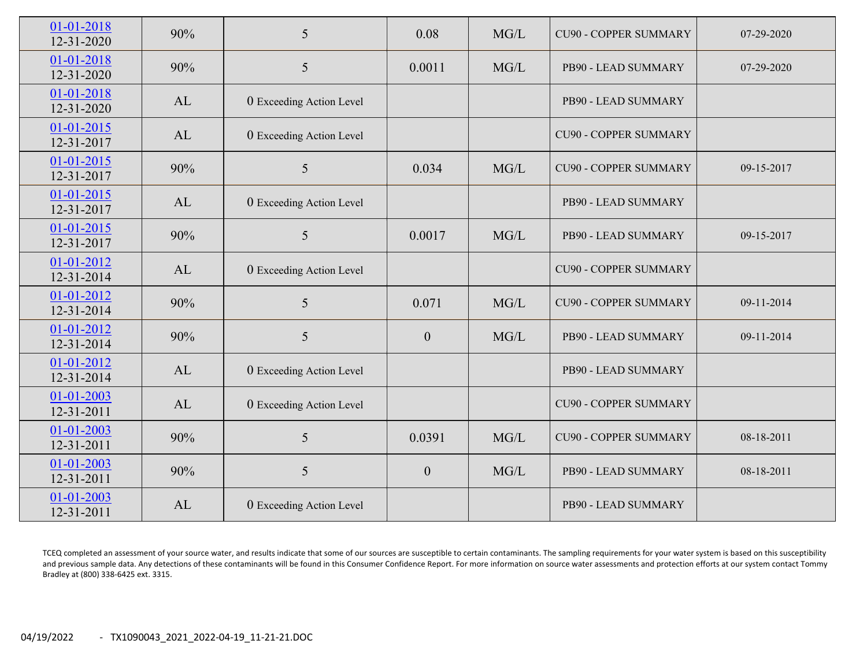| 01-01-2018<br>12-31-2020       | 90% | 5                        | 0.08           | MG/L | <b>CU90 - COPPER SUMMARY</b> | 07-29-2020 |
|--------------------------------|-----|--------------------------|----------------|------|------------------------------|------------|
| 01-01-2018<br>12-31-2020       | 90% | 5                        | 0.0011         | MG/L | PB90 - LEAD SUMMARY          | 07-29-2020 |
| 01-01-2018<br>12-31-2020       | AL  | 0 Exceeding Action Level |                |      | PB90 - LEAD SUMMARY          |            |
| 01-01-2015<br>12-31-2017       | AL  | 0 Exceeding Action Level |                |      | <b>CU90 - COPPER SUMMARY</b> |            |
| 01-01-2015<br>12-31-2017       | 90% | 5                        | 0.034          | MG/L | <b>CU90 - COPPER SUMMARY</b> | 09-15-2017 |
| $01 - 01 - 2015$<br>12-31-2017 | AL  | 0 Exceeding Action Level |                |      | PB90 - LEAD SUMMARY          |            |
| 01-01-2015<br>12-31-2017       | 90% | 5                        | 0.0017         | MG/L | PB90 - LEAD SUMMARY          | 09-15-2017 |
| 01-01-2012<br>12-31-2014       | AL  | 0 Exceeding Action Level |                |      | <b>CU90 - COPPER SUMMARY</b> |            |
| 01-01-2012<br>12-31-2014       | 90% | 5                        | 0.071          | MG/L | <b>CU90 - COPPER SUMMARY</b> | 09-11-2014 |
| $01 - 01 - 2012$<br>12-31-2014 | 90% | 5                        | $\theta$       | MG/L | PB90 - LEAD SUMMARY          | 09-11-2014 |
| 01-01-2012<br>12-31-2014       | AL  | 0 Exceeding Action Level |                |      | PB90 - LEAD SUMMARY          |            |
| 01-01-2003<br>12-31-2011       | AL  | 0 Exceeding Action Level |                |      | <b>CU90 - COPPER SUMMARY</b> |            |
| 01-01-2003<br>12-31-2011       | 90% | 5                        | 0.0391         | MG/L | <b>CU90 - COPPER SUMMARY</b> | 08-18-2011 |
| 01-01-2003<br>12-31-2011       | 90% | 5                        | $\overline{0}$ | MG/L | PB90 - LEAD SUMMARY          | 08-18-2011 |
| 01-01-2003<br>12-31-2011       | AL  | 0 Exceeding Action Level |                |      | PB90 - LEAD SUMMARY          |            |

TCEQ completed an assessment of your source water, and results indicate that some of our sources are susceptible to certain contaminants. The sampling requirements for your water system is based on this susceptibility and previous sample data. Any detections of these contaminants will be found in this Consumer Confidence Report. For more information on source water assessments and protection efforts at our system contact Tommy Bradley at (800) 338‐6425 ext. 3315.